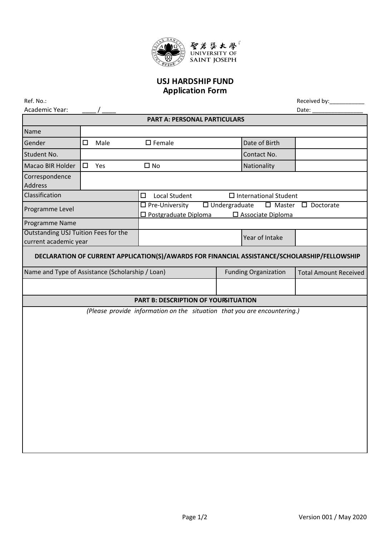

## **USJ HARDSHIP FUND Application Form**

| Ref. No.:                                                                                    |                |                                                            |                      |                                 | Received by:_____________      |  |  |
|----------------------------------------------------------------------------------------------|----------------|------------------------------------------------------------|----------------------|---------------------------------|--------------------------------|--|--|
| Academic Year:                                                                               |                |                                                            |                      |                                 | Date:                          |  |  |
| <b>PART A: PERSONAL PARTICULARS</b>                                                          |                |                                                            |                      |                                 |                                |  |  |
| Name                                                                                         |                |                                                            |                      |                                 |                                |  |  |
| Gender                                                                                       | Male<br>$\Box$ | $\square$ Female                                           |                      | Date of Birth                   |                                |  |  |
| Student No.                                                                                  |                |                                                            |                      | Contact No.                     |                                |  |  |
| Macao BIR Holder                                                                             | $\Box$<br>Yes  | $\square$ No                                               |                      | Nationality                     |                                |  |  |
| Correspondence<br><b>Address</b>                                                             |                |                                                            |                      |                                 |                                |  |  |
| Classification                                                                               |                | $\Box$<br><b>Local Student</b>                             |                      | $\square$ International Student |                                |  |  |
| Programme Level                                                                              |                | $\square$ Pre-University<br>$\square$ Postgraduate Diploma | $\Box$ Undergraduate | □ Associate Diploma             | $\Box$ Master $\Box$ Doctorate |  |  |
| Programme Name                                                                               |                |                                                            |                      |                                 |                                |  |  |
| Outstanding USJ Tuition Fees for the                                                         |                |                                                            |                      | Year of Intake                  |                                |  |  |
| current academic year                                                                        |                |                                                            |                      |                                 |                                |  |  |
| DECLARATION OF CURRENT APPLICATION(S)/AWARDS FOR FINANCIAL ASSISTANCE/SCHOLARSHIP/FELLOWSHIP |                |                                                            |                      |                                 |                                |  |  |
| Name and Type of Assistance (Scholarship / Loan)                                             |                |                                                            |                      | <b>Funding Organization</b>     | <b>Total Amount Received</b>   |  |  |
|                                                                                              |                |                                                            |                      |                                 |                                |  |  |
| PART B: DESCRIPTION OF YOURITUATION                                                          |                |                                                            |                      |                                 |                                |  |  |
| (Please provide information on the situation that you are encountering.)                     |                |                                                            |                      |                                 |                                |  |  |
|                                                                                              |                |                                                            |                      |                                 |                                |  |  |
|                                                                                              |                |                                                            |                      |                                 |                                |  |  |
|                                                                                              |                |                                                            |                      |                                 |                                |  |  |
|                                                                                              |                |                                                            |                      |                                 |                                |  |  |
|                                                                                              |                |                                                            |                      |                                 |                                |  |  |
|                                                                                              |                |                                                            |                      |                                 |                                |  |  |
|                                                                                              |                |                                                            |                      |                                 |                                |  |  |
|                                                                                              |                |                                                            |                      |                                 |                                |  |  |
|                                                                                              |                |                                                            |                      |                                 |                                |  |  |
|                                                                                              |                |                                                            |                      |                                 |                                |  |  |
|                                                                                              |                |                                                            |                      |                                 |                                |  |  |
|                                                                                              |                |                                                            |                      |                                 |                                |  |  |
|                                                                                              |                |                                                            |                      |                                 |                                |  |  |
|                                                                                              |                |                                                            |                      |                                 |                                |  |  |